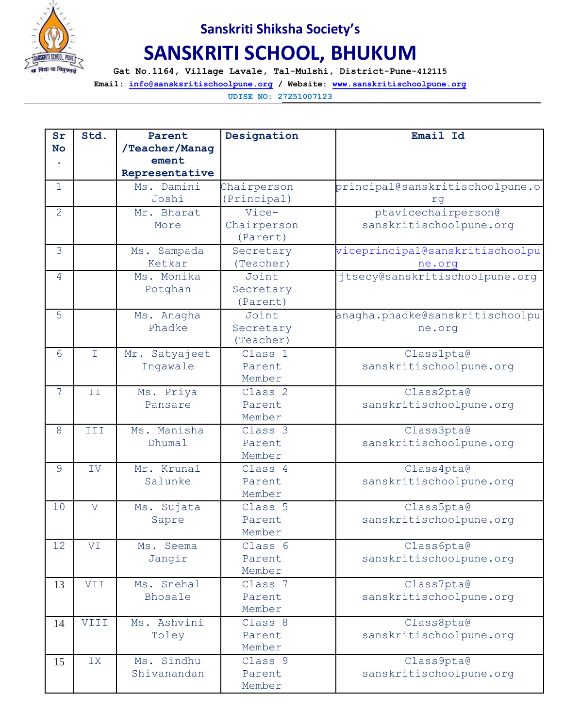

## **Sanskriti Shiksha Society's**

## **SANSKRITI SCHOOL, BHUKUM**

**Gat No.1164, Village Lavale, Tal-Mulshi, District-Pune-412115**

**Email: [info@sansksritischoolpune.org](mailto:info@sansksritischoolpune.org) / Website: [www.sanskritischoolpune.org](http://www.sanskritischoolpune.org/)**

**UDISE NO: 27251007123**

| Sr             | Std.               | Parent         | Designation        | Email Id                        |
|----------------|--------------------|----------------|--------------------|---------------------------------|
| <b>No</b>      |                    | /Teacher/Manag |                    |                                 |
|                |                    | ement          |                    |                                 |
|                |                    | Representative |                    |                                 |
| $\mathbf{1}$   |                    | Ms. Damini     | Chairperson        | principal@sanskritischoolpune.o |
|                |                    | Joshi          | (Principal)        | rq                              |
| $\overline{2}$ |                    | Mr. Bharat     | Vice-              | ptavicechairperson@             |
|                |                    | More           | Chairperson        | sanskritischoolpune.org         |
|                |                    |                | (Parent)           |                                 |
| 3              |                    | Ms. Sampada    | Secretary          | viceprincipal@sanskritischoolpu |
|                |                    | Ketkar         | (Teacher)          | ne.org                          |
| 4              |                    | Ms. Monika     | Joint              | jtsecy@sanskritischoolpune.org  |
|                |                    | Potghan        | Secretary          |                                 |
|                |                    |                | (Parent)           |                                 |
| 5              |                    | Ms. Anagha     | Joint              | anagha.phadke@sanskritischoolpu |
|                |                    | Phadke         | Secretary          | ne.org                          |
|                |                    |                | (Teacher)          |                                 |
| 6              | $\bar{\mathbf{I}}$ | Mr. Satyajeet  | Class 1            | Class1pta@                      |
|                |                    | Ingawale       | Parent             | sanskritischoolpune.org         |
|                |                    |                | Member             |                                 |
| $\overline{7}$ | ΙI                 | Ms. Priya      | Class <sub>2</sub> | Class2pta@                      |
|                |                    | Pansare        | Parent             | sanskritischoolpune.org         |
|                |                    |                | Member             |                                 |
| 8              | III                | Ms. Manisha    | Class 3            | Class3pta@                      |
|                |                    | Dhumal         | Parent             | sanskritischoolpune.org         |
|                |                    |                | Member             |                                 |
| 9              | IV                 | Mr. Krunal     | Class 4            | Class4pta@                      |
|                |                    | Salunke        | Parent             | sanskritischoolpune.org         |
|                |                    |                | Member             |                                 |
| 10             | $\overline{V}$     | Ms. Sujata     | Class 5            | Class5pta@                      |
|                |                    | Sapre          | Parent             | sanskritischoolpune.org         |
|                |                    |                | Member             |                                 |
| 12             | VI                 | Ms. Seema      | Class 6            | Class6pta@                      |
|                |                    | Jangir         | Parent             | sanskritischoolpune.org         |
|                |                    |                | Member             |                                 |
| 13             | VII                | Ms. Snehal     | Class 7            | Class7pta@                      |
|                |                    | Bhosale        | Parent             | sanskritischoolpune.org         |
|                |                    |                | Member             |                                 |
| 14             | VIII               | Ms. Ashvini    | Class 8            | Class8pta@                      |
|                |                    | Toley          | Parent             | sanskritischoolpune.org         |
|                |                    |                | Member             |                                 |
| 15             | IX                 | Ms. Sindhu     | Class 9            | Class9pta@                      |
|                |                    | Shivanandan    | Parent             | sanskritischoolpune.org         |
|                |                    |                | Member             |                                 |